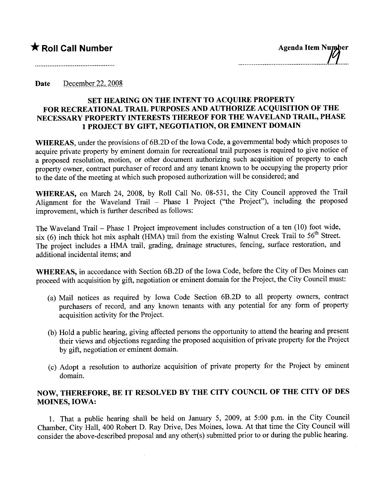#### Date December 22, 2008

### SET HEARING ON THE INTENT TO ACQUIRE PROPERTY FOR RECREATIONAL TRAIL PURPOSES AND AUTHORIZE ACQUISITION OF THE NECESSARY PROPERTY INTERESTS THEREOF FOR THE WAVELAND TRAIL, PHASE 1 PROJECT BY GIFT, NEGOTIATION, OR EMINENT DOMAIN

WHEREAS, under the provisions of 6B.2D of the Iowa Code, a governmental body which proposes to acquire private property by eminent domain for recreational trail purposes is required to give notice of a proposed resolution, motion, or other document authorizing such acquisition of property to each property owner, contract purchaser of record and any tenant known to be occupying the property prior to the date of the meeting at which such proposed authorization wil be considered; and

WHEREAS, on March 24, 2008, by Roll Call No. 08-531, the City Council approved the Trail Alignment for the Waveland Trail - Phase 1 Project ("the Project"), including the proposed improvement, which is further described as follows:

The Waveland Trail - Phase 1 Project improvement includes construction of a ten (10) foot wide, six (6) inch thick hot mix asphalt  $(HMA)$  trail from the existing Walnut Creek Trail to  $56<sup>th</sup>$  Street. The project includes a HMA trail, grading, drainage structures, fencing, surface restoration, and additional incidental items; and

WHEREAS, in accordance with Section 6B.2D of the Iowa Code, before the City of Des Moines can proceed with acquisition by gift, negotiation or eminent domain for the Project, the City Council must:

- (a) Mail notices as required by Iowa Code Section 6B.2D to all property owners, contract purchasers of record, and any known tenants with any potential for any form of property acquisition activity for the Project.
- (b) Hold a public hearing, giving affected persons the opportunity to attend the hearing and present their views and objections regarding the proposed acquisition of private property for the Project by gift, negotiation or eminent domain.
- (c) Adopt a resolution to authorize acquisition of private property for the Project by eminent domain.

## NOW, THEREFORE, BE IT RESOLVED BY THE CITY COUNCIL OF THE CITY OF DES MOINES, IOWA:

1. That a public hearng shall be held on January 5, 2009, at 5:00 p.m. in the City Council Chamber, City Hall, 400 Robert D. Ray Drive, Des Moines, Iowa. At that time the City Council wil consider the above-described proposal and any other(s) submitted prior to or durng the public hearing.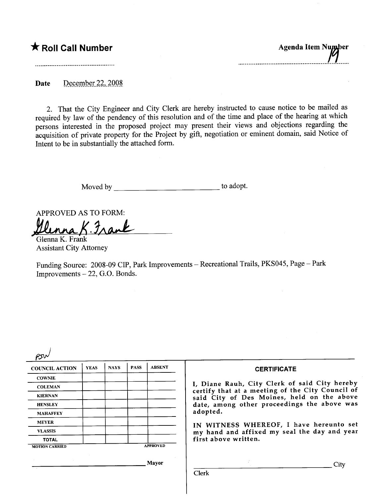# $\bigstar$  Roll Call Number

Agenda Item Number 

Date December 22, 2008.

2. That the City Engineer and City Clerk are hereby instructed to cause notice to be mailed as required by law of the pendency of this resolution and of the time and place of the hearing at which persons interested in the proposed project may present their views and objections regarding the acquisition of private property for the Project by gift, negotiation or eminent domain, said Notice of Intent to be in substantially the attached form.

Moved by to adopt.

APPROVED AS TO FORM:<br>Ulunna K. Jan

Assistant City Attorney

Funding Source: 2008-09 CIP, Park Improvements - Recreational Trails, PKS045, Page - Park Improvements - 22, G.O. Bonds.

| <b>COUNCIL ACTION</b>           | <b>YEAS</b> | <b>NAYS</b> | <b>PASS</b> | <b>ABSENT</b>   | <b>CERTIFICATE</b>                                                                                                                                                                             |
|---------------------------------|-------------|-------------|-------------|-----------------|------------------------------------------------------------------------------------------------------------------------------------------------------------------------------------------------|
| <b>COWNIE</b><br><b>COLEMAN</b> |             |             |             |                 | I, Diane Rauh, City Clerk of said City hereby<br>certify that at a meeting of the City Council of<br>said City of Des Moines, held on the above<br>date, among other proceedings the above was |
|                                 |             |             |             |                 |                                                                                                                                                                                                |
| <b>KIERNAN</b>                  |             |             |             |                 |                                                                                                                                                                                                |
| <b>HENSLEY</b>                  |             |             |             |                 |                                                                                                                                                                                                |
| <b>MAHAFFEY</b>                 |             |             |             |                 | adopted.                                                                                                                                                                                       |
| <b>MEYER</b>                    |             |             |             |                 | IN WITNESS WHEREOF, I have hereunto set                                                                                                                                                        |
| <b>VLASSIS</b>                  |             |             |             |                 | my hand and affixed my seal the day and year<br>first above written.                                                                                                                           |
| <b>TOTAL</b>                    |             |             |             |                 |                                                                                                                                                                                                |
| <b>MOTION CARRIED</b>           |             |             |             | <b>APPROVED</b> |                                                                                                                                                                                                |